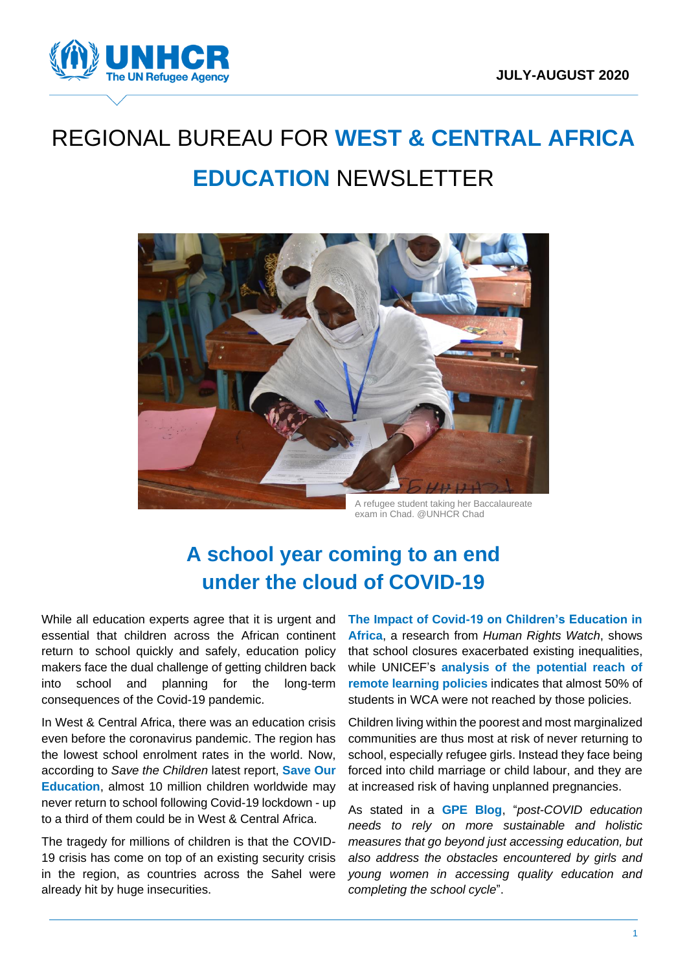

# REGIONAL BUREAU FOR **WEST & CENTRAL AFRICA EDUCATION** NEWSLETTER



A refugee student taking her Baccalaureate exam in Chad. @UNHCR Chad

# **A school year coming to an end under the cloud of COVID-19**

While all education experts agree that it is urgent and essential that children across the African continent return to school quickly and safely, education policy makers face the dual challenge of getting children back into school and planning for the long-term consequences of the Covid-19 pandemic.

In West & Central Africa, there was an education crisis even before the coronavirus pandemic. The region has the lowest school enrolment rates in the world. Now, according to *Save the Children* latest report, **[Save Our](https://resourcecentre.savethechildren.net/library/save-our-education-protect-every-childs-right-learn-covid-19-response-and-recovery)  [Education](https://resourcecentre.savethechildren.net/library/save-our-education-protect-every-childs-right-learn-covid-19-response-and-recovery)**, almost 10 million children worldwide may never return to school following Covid-19 lockdown - up to a third of them could be in West & Central Africa.

The tragedy for millions of children is that the COVID-19 crisis has come on top of an existing security crisis in the region, as countries across the Sahel were already hit by huge insecurities.

**[The Impact of Covid-19 on Children's Education in](https://www.hrw.org/news/2020/08/26/impact-covid-19-childrens-education-africa)  [Africa](https://www.hrw.org/news/2020/08/26/impact-covid-19-childrens-education-africa)**, a research from *Human Rights Watch*, shows that school closures exacerbated existing inequalities, while UNICEF's **[analysis of the potential reach of](https://data.unicef.org/resources/remote-learning-reachability-factsheet/)  [remote learning policies](https://data.unicef.org/resources/remote-learning-reachability-factsheet/)** indicates that almost 50% of students in WCA were not reached by those policies.

Children living within the poorest and most marginalized communities are thus most at risk of never returning to school, especially refugee girls. Instead they face being forced into child marriage or child labour, and they are at increased risk of having unplanned pregnancies.

As stated in a **[GPE Blog](https://www.globalpartnership.org/blog/addressing-impact-covid-19-girls-and-womens-education-africa)**, "*post-COVID education needs to rely on more sustainable and holistic measures that go beyond just accessing education, but also address the obstacles encountered by girls and young women in accessing quality education and completing the school cycle*".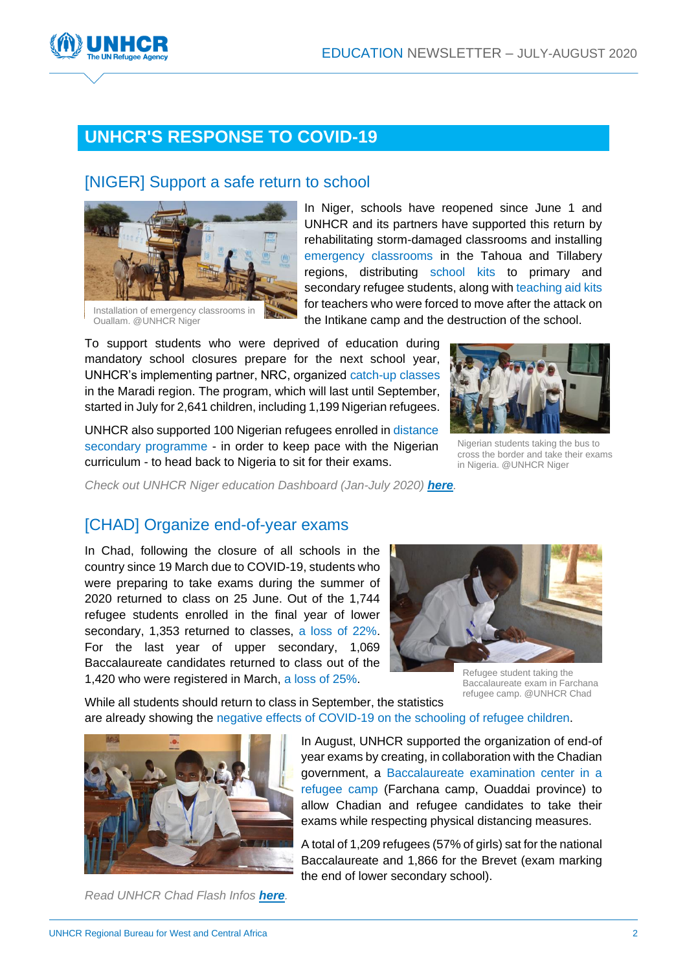

## **UNHCR'S RESPONSE TO COVID-19**

#### [NIGER] Support a safe return to school



In Niger, schools have reopened since June 1 and UNHCR and its partners have supported this return by rehabilitating storm-damaged classrooms and installing emergency classrooms in the Tahoua and Tillabery regions, distributing school kits to primary and secondary refugee students, along with teaching aid kits for teachers who were forced to move after the attack on the Intikane camp and the destruction of the school.

To support students who were deprived of education during mandatory school closures prepare for the next school year, UNHCR's implementing partner, NRC, organized catch-up classes in the Maradi region. The program, which will last until September, started in July for 2,641 children, including 1,199 Nigerian refugees.

UNHCR also supported 100 Nigerian refugees enrolled in distance secondary programme - in order to keep pace with the Nigerian curriculum - to head back to Nigeria to sit for their exams.



Nigerian students taking the bus to cross the border and take their exams in Nigeria. @UNHCR Niger

*Check out UNHCR Niger education Dashboard (Jan-July 2020) [here](https://data2.unhcr.org/en/documents/details/78650).*

#### [CHAD] Organize end-of-year exams

In Chad, following the closure of all schools in the country since 19 March due to COVID-19, students who were preparing to take exams during the summer of 2020 returned to class on 25 June. Out of the 1,744 refugee students enrolled in the final year of lower secondary, 1,353 returned to classes, a loss of 22%. For the last year of upper secondary, 1,069 Baccalaureate candidates returned to class out of the 1,420 who were registered in March, a loss of 25%.



Refugee student taking the Baccalaureate exam in Farchana refugee camp. @UNHCR Chad

While all students should return to class in September, the statistics are already showing the negative effects of COVID-19 on the schooling of refugee children.



*Read UNHCR Chad Flash Infos [here](https://reliefweb.int/report/chad/tchad-1-209-r-fugi-s-participent-aux-preuves-du-baccalaur-2020).*

In August, UNHCR supported the organization of end-of year exams by creating, in collaboration with the Chadian government, a Baccalaureate examination center in a refugee camp (Farchana camp, Ouaddai province) to allow Chadian and refugee candidates to take their exams while respecting physical distancing measures.

A total of 1,209 refugees (57% of girls) sat for the national Baccalaureate and 1,866 for the Brevet (exam marking the end of lower secondary school).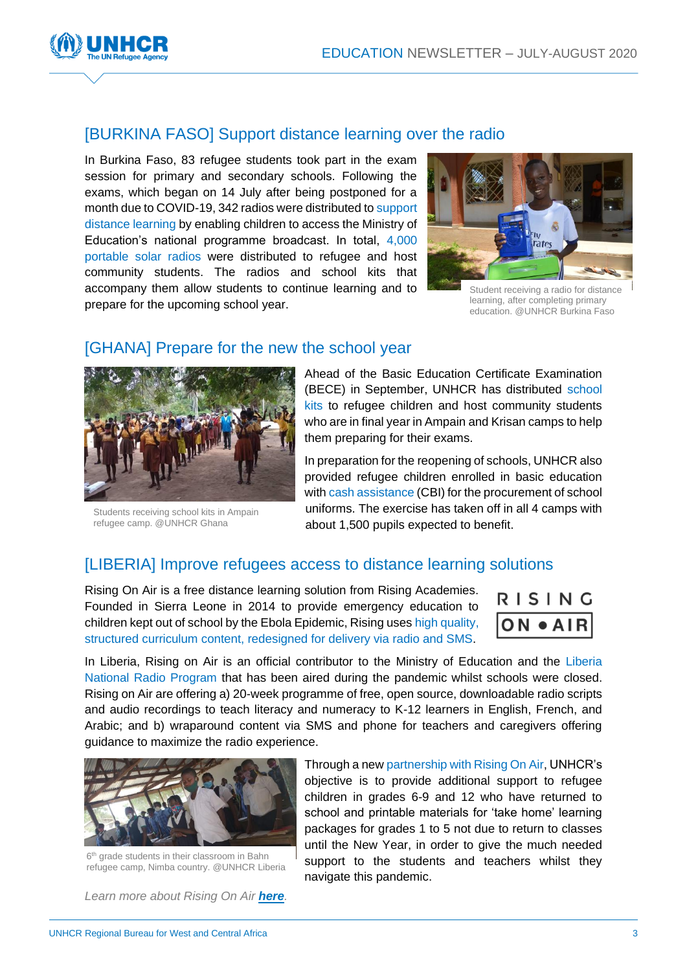

#### [BURKINA FASO] Support distance learning over the radio

In Burkina Faso, 83 refugee students took part in the exam session for primary and secondary schools. Following the exams, which began on 14 July after being postponed for a month due to COVID-19, 342 radios were distributed to support distance learning by enabling children to access the Ministry of Education's national programme broadcast. In total, 4,000 portable solar radios were distributed to refugee and host community students. The radios and school kits that accompany them allow students to continue learning and to prepare for the upcoming school year.



Student receiving a radio for distance learning, after completing primary education. @UNHCR Burkina Faso

#### [GHANA] Prepare for the new the school year



Students receiving school kits in Ampain refugee camp. @UNHCR Ghana

Ahead of the Basic Education Certificate Examination (BECE) in September, UNHCR has distributed school kits to refugee children and host community students who are in final year in Ampain and Krisan camps to help them preparing for their exams.

In preparation for the reopening of schools, UNHCR also provided refugee children enrolled in basic education with cash assistance (CBI) for the procurement of school uniforms. The exercise has taken off in all 4 camps with about 1,500 pupils expected to benefit.

#### [LIBERIA] [Improve](https://www.globalpartnership.org/gpe-and-covid-19-pandemic?location=initial-view) refugees access to distance learning solutions

[Rising On Air](https://www.risingacademies.com/onair) is a free distance learning solution from Rising Academies. Founded in Sierra Leone in 2014 to provide emergency education to children kept out of school by the Ebola Epidemic, Rising uses high quality, structured curriculum content, redesigned for delivery via radio and SMS.



In Liberia, Rising on Air is an official contributor to the Ministry of Education and the Liberia National Radio Program that has been aired during the pandemic whilst schools were closed. Rising on Air are offering a) 20-week programme of free, open source, downloadable radio scripts and audio recordings to teach literacy and numeracy to K-12 learners in English, French, and Arabic; and b) wraparound content via SMS and phone for teachers and caregivers offering guidance to maximize the radio experience.



6 th grade students in their classroom in Bahn refugee camp, Nimba country. @UNHCR Liberia

*Learn more about Rising On Air [here](https://www.risingacademies.com/onair).*

Through a new partnership with Rising On Air, UNHCR's objective is to provide additional support to refugee children in grades 6-9 and 12 who have returned to school and printable materials for 'take home' learning packages for grades 1 to 5 not due to return to classes until the New Year, in order to give the much needed support to the students and teachers whilst they navigate this pandemic.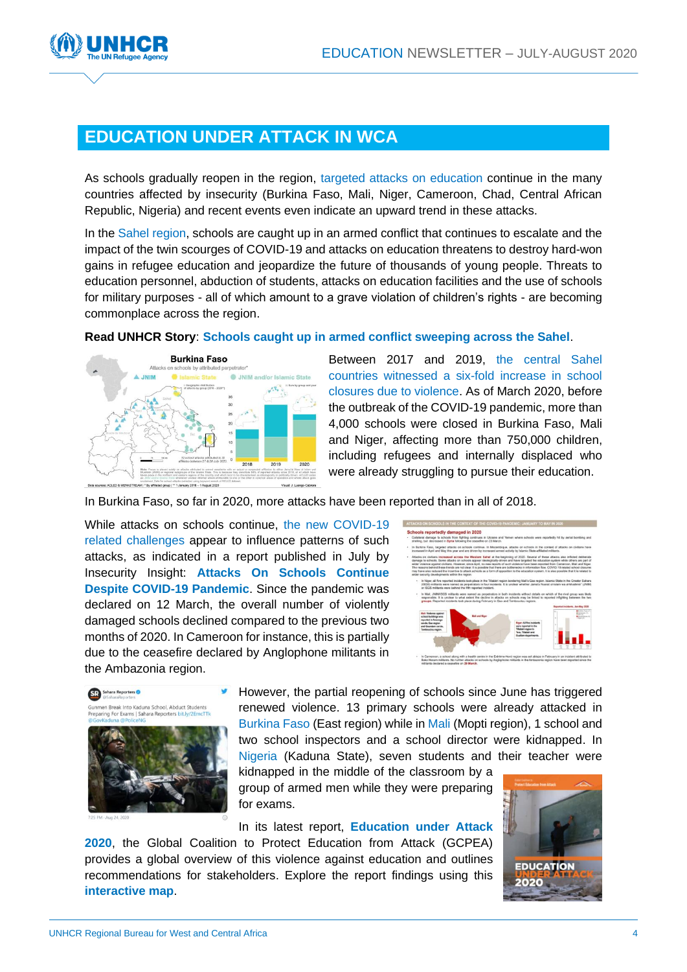

### **EDUCATION UNDER ATTACK IN WCA**

As schools gradually reopen in the region, targeted attacks on education continue in the many countries affected by insecurity (Burkina Faso, Mali, Niger, Cameroon, Chad, Central African Republic, Nigeria) and recent events even indicate an upward trend in these attacks.

In the Sahel region, schools are caught up in an armed conflict that continues to escalate and the impact of the twin scourges of COVID-19 and attacks on education threatens to destroy hard-won gains in refugee education and jeopardize the future of thousands of young people. Threats to education personnel, abduction of students, attacks on education facilities and the use of schools for military purposes - all of which amount to a grave violation of children's rights - are becoming commonplace across the region.



**Read UNHCR Story**: **[Schools caught up in armed conflict sweeping across the Sahel](https://www.unhcr.org/news/stories/2020/8/5f4782404/schools-caught-armed-conflict-sweeping-across-sahel.html)**.

Between 2017 and 2019, the central Sahel countries witnessed a six-fold increase in school closures due to violence. As of March 2020, before the outbreak of the COVID-19 pandemic, more than 4,000 schools were closed in Burkina Faso, Mali and Niger, affecting more than 750,000 children, including refugees and internally displaced who were already struggling to pursue their education.

In Burkina Faso, so far in 2020, more attacks have been reported than in all of 2018.

While attacks on schools continue, the new COVID-19 related challenges appear to influence patterns of such attacks, as indicated in a report published in July by Insecurity Insight: **[Attacks On Schools Continue](http://insecurityinsight.org/wp-content/uploads/2020/07/Attacks-on-schools-in-the-context-of-the-COVID-19-pandemic.pdf)  [Despite COVID-19 Pandemic](http://insecurityinsight.org/wp-content/uploads/2020/07/Attacks-on-schools-in-the-context-of-the-COVID-19-pandemic.pdf)**. Since the pandemic was declared on 12 March, the overall number of violently damaged schools declined compared to the previous two months of 2020. In Cameroon for instance, this is partially due to the ceasefire declared by Anglophone militants in the Ambazonia region.





However, the partial reopening of schools since June has triggered renewed violence. 13 primary schools were already attacked in Burkina Faso (East region) while in Mali (Mopti region), 1 school and two school inspectors and a school director were kidnapped. In Nigeria (Kaduna State), seven students and their teacher were

kidnapped in the middle of the classroom by a group of armed men while they were preparing for exams.

In its latest report, **[Education under Attack](http://protectingeducation.org/wp-content/uploads/eua_2020_full.pdf)** 

**[2020](http://protectingeducation.org/wp-content/uploads/eua_2020_full.pdf)**, the Global Coalition to Protect Education from Attack (GCPEA) provides a global overview of this violence against education and outlines recommendations for stakeholders. Explore the report findings using this **[interactive map](https://eua2020.protectingeducation.org/#map)**.

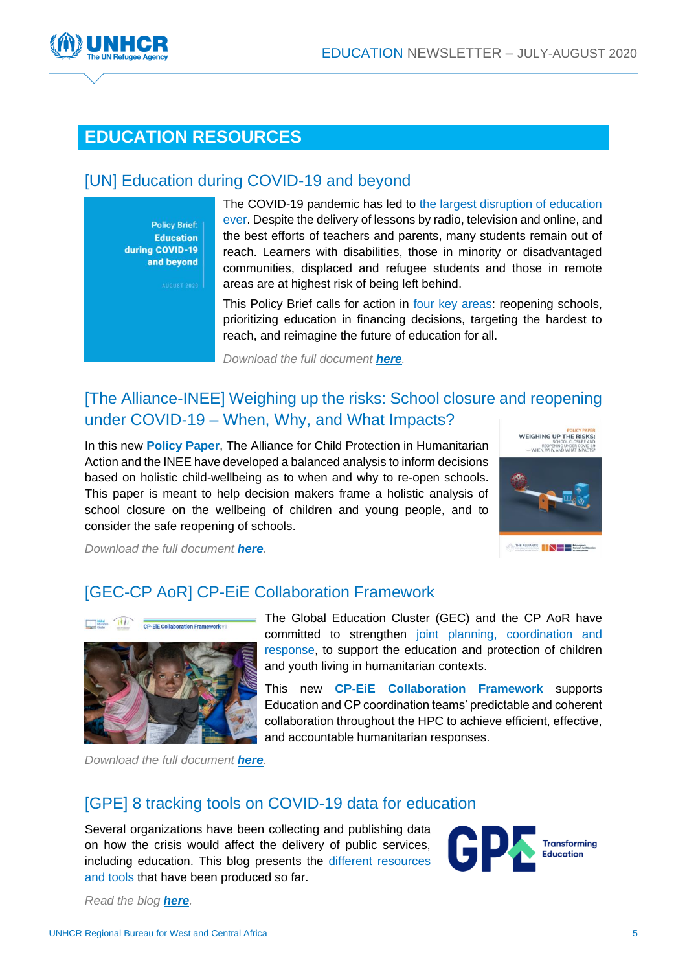

### **EDUCATION RESOURCES**

#### [UN] [Education during COVID-19 and beyond](https://www.un.org/sites/un2.un.org/files/sg_policy_brief_covid-19_and_education_august_2020.pdf)

**Policy Brief: Education** during COVID-19 and beyond

The COVID-19 pandemic has led to the largest disruption of education ever. Despite the delivery of lessons by radio, television and online, and the best efforts of teachers and parents, many students remain out of reach. Learners with disabilities, those in minority or disadvantaged communities, displaced and refugee students and those in remote areas are at highest risk of being left behind.

This Policy Brief calls for action in four key areas: reopening schools, prioritizing education in financing decisions, targeting the hardest to reach, and reimagine the future of education for all.

*Download the full document [here](https://www.un.org/sites/un2.un.org/files/sg_policy_brief_covid-19_and_education_august_2020.pdf).*

#### [\[The Alliance-INEE\] Weighing up the risks: School closure and reopening](https://inee.org/resources/weighing-risks-school-closure-and-reopening-under-covid-19)  under COVID-19 – [When, Why, and What Impacts?](https://inee.org/resources/weighing-risks-school-closure-and-reopening-under-covid-19)

In this new **[Policy Paper](https://inee.org/resources/weighing-risks-school-closure-and-reopening-under-covid-19)**, The Alliance for Child Protection in Humanitarian Action and the INEE have developed a balanced analysis to inform decisions based on holistic child-wellbeing as to when and why to re-open schools. This paper is meant to help decision makers frame a holistic analysis of school closure on the wellbeing of children and young people, and to consider the safe reopening of schools.



*Download the full document [here](https://inee.org/resources/weighing-risks-school-closure-and-reopening-under-covid-19).* 

#### [\[GEC-CP AoR\] CP-EiE Collaboration Framework](https://www.cpaor.net/Launch_CP_EiE_Collab_Framework)



The Global Education Cluster (GEC) and the CP AoR have committed to strengthen joint planning, coordination and response, to support the education and protection of children and youth living in humanitarian contexts.

This new **[CP-EiE Collaboration Framework](https://educationcluster.app.box.com/s/9mqsahd102pzwwiq7cpobxxo0jc4cmkg)** supports Education and CP coordination teams' predictable and coherent collaboration throughout the HPC to achieve efficient, effective, and accountable humanitarian responses.

*Download the full document [here](https://educationcluster.app.box.com/s/9mqsahd102pzwwiq7cpobxxo0jc4cmkg).* 

#### [\[GPE\]](https://www.globalpartnership.org/blog/8-tracking-tools-covid-19-data-education) [8 tracking tools on COVID-19 data for education](https://www.globalpartnership.org/blog/8-tracking-tools-covid-19-data-education)

Several organizations have been collecting and publishing data on how the crisis would affect the delivery of public services, including education. This blog presents the different resources and tools that have been produced so far.



*Read the blog [here](https://www.globalpartnership.org/blog/8-tracking-tools-covid-19-data-education).*